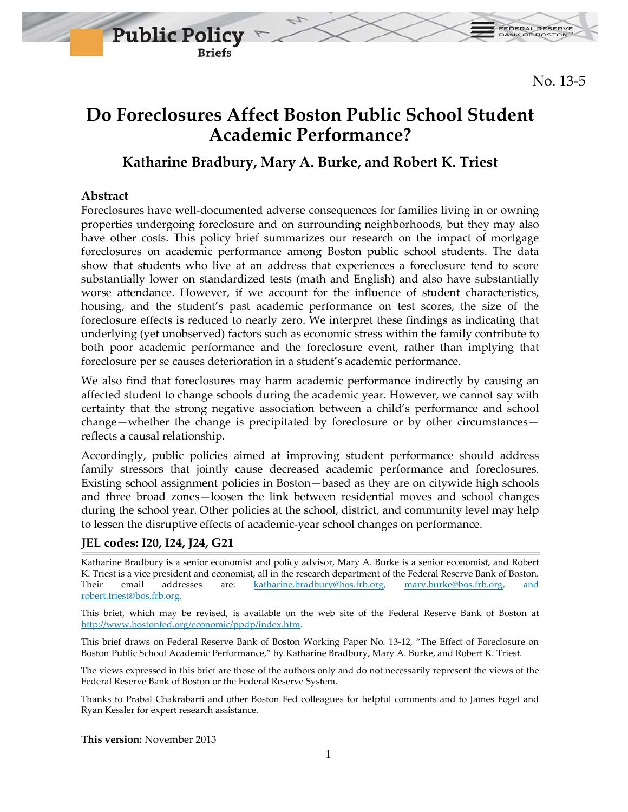



FEDERAL RESERVE

# **Do Foreclosures Affect Boston Public School Student Academic Performance?**

### **Katharine Bradbury, Mary A. Burke, and Robert K. Triest**

#### **Abstract**

Foreclosures have well-documented adverse consequences for families living in or owning properties undergoing foreclosure and on surrounding neighborhoods, but they may also have other costs. This policy brief summarizes our research on the impact of mortgage foreclosures on academic performance among Boston public school students. The data show that students who live at an address that experiences a foreclosure tend to score substantially lower on standardized tests (math and English) and also have substantially worse attendance. However, if we account for the influence of student characteristics, housing, and the student's past academic performance on test scores, the size of the foreclosure effects is reduced to nearly zero. We interpret these findings as indicating that underlying (yet unobserved) factors such as economic stress within the family contribute to both poor academic performance and the foreclosure event, rather than implying that foreclosure per se causes deterioration in a student's academic performance.

We also find that foreclosures may harm academic performance indirectly by causing an affected student to change schools during the academic year. However, we cannot say with certainty that the strong negative association between a child's performance and school change—whether the change is precipitated by foreclosure or by other circumstances reflects a causal relationship.

Accordingly, public policies aimed at improving student performance should address family stressors that jointly cause decreased academic performance and foreclosures. Existing school assignment policies in Boston—based as they are on citywide high schools and three broad zones—loosen the link between residential moves and school changes during the school year. Other policies at the school, district, and community level may help to lessen the disruptive effects of academic-year school changes on performance.

#### **JEL codes: I20, I24, J24, G21**

Katharine Bradbury is a senior economist and policy advisor, Mary A. Burke is a senior economist, and Robert K. Triest is a vice president and economist, all in the research department of the Federal Reserve Bank of Boston. Their email addresses are: [katharine.bradbury@bos.frb.org,](mailto:katharine.bradbury@bos.frb.org) [mary.burke@bos.frb.org,](mailto:mary.burke@bos.frb.org) and [robert.triest@bos.frb.org.](mailto:robert.triest@bos.frb.org)

This brief, which may be revised, is available on the web site of the Federal Reserve Bank of Boston at [http://www.bostonfed.org/economic/ppdp/index.htm.](http://www.bostonfed.org/economic/ppdp/index.htm)

This brief draws on Federal Reserve Bank of Boston Working Paper No. 13-12, "The Effect of Foreclosure on Boston Public School Academic Performance," by Katharine Bradbury, Mary A. Burke, and Robert K. Triest.

The views expressed in this brief are those of the authors only and do not necessarily represent the views of the Federal Reserve Bank of Boston or the Federal Reserve System.

Thanks to Prabal Chakrabarti and other Boston Fed colleagues for helpful comments and to James Fogel and Ryan Kessler for expert research assistance.

<span id="page-0-0"></span>**This version:** November 2013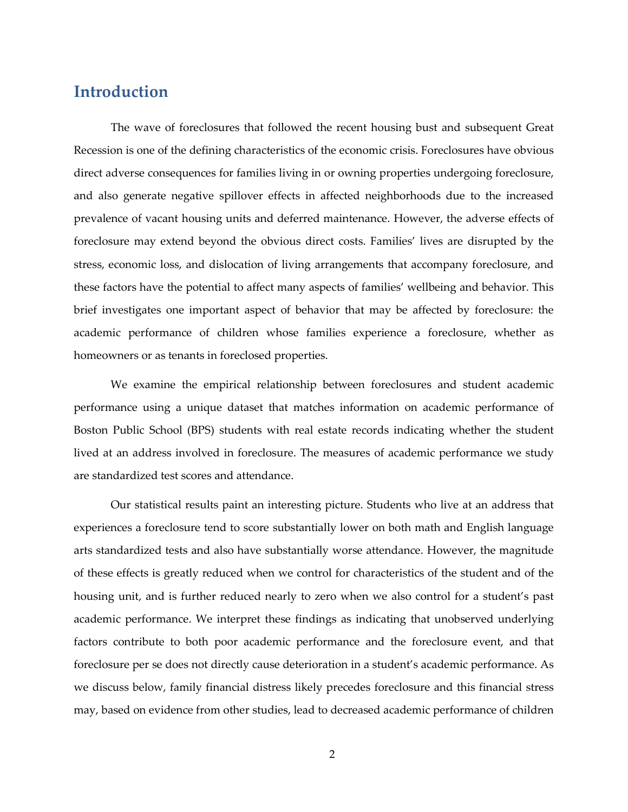# **Introduction**

The wave of foreclosures that followed the recent housing bust and subsequent Great Recession is one of the defining characteristics of the economic crisis. Foreclosures have obvious direct adverse consequences for families living in or owning properties undergoing foreclosure, and also generate negative spillover effects in affected neighborhoods due to the increased prevalence of vacant housing units and deferred maintenance. However, the adverse effects of foreclosure may extend beyond the obvious direct costs. Families' lives are disrupted by the stress, economic loss, and dislocation of living arrangements that accompany foreclosure, and these factors have the potential to affect many aspects of families' wellbeing and behavior. This brief investigates one important aspect of behavior that may be affected by foreclosure: the academic performance of children whose families experience a foreclosure, whether as homeowners or as tenants in foreclosed properties.

We examine the empirical relationship between foreclosures and student academic performance using a unique dataset that matches information on academic performance of Boston Public School (BPS) students with real estate records indicating whether the student lived at an address involved in foreclosure. The measures of academic performance we study are standardized test scores and attendance.

Our statistical results paint an interesting picture. Students who live at an address that experiences a foreclosure tend to score substantially lower on both math and English language arts standardized tests and also have substantially worse attendance. However, the magnitude of these effects is greatly reduced when we control for characteristics of the student and of the housing unit, and is further reduced nearly to zero when we also control for a student's past academic performance. We interpret these findings as indicating that unobserved underlying factors contribute to both poor academic performance and the foreclosure event, and that foreclosure per se does not directly cause deterioration in a student's academic performance. As we discuss below, family financial distress likely precedes foreclosure and this financial stress may, based on evidence from other studies, lead to decreased academic performance of children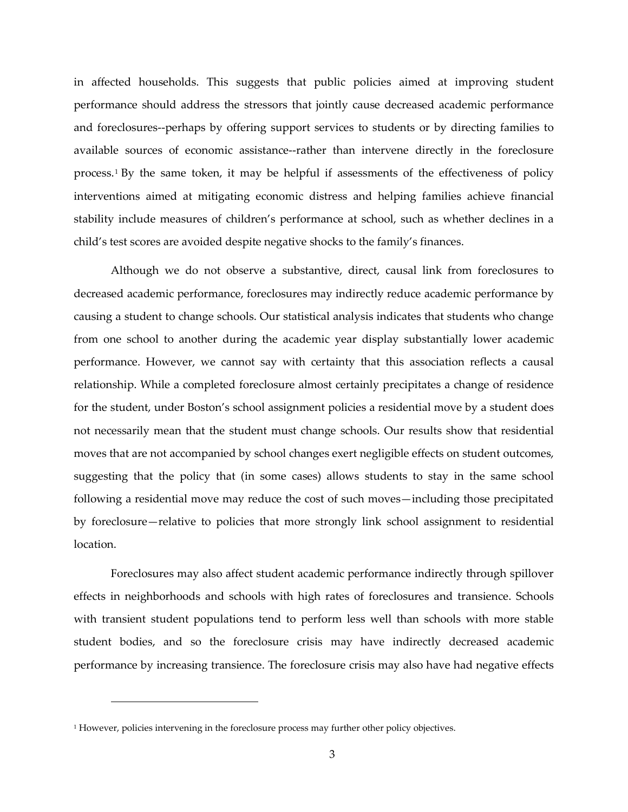in affected households. This suggests that public policies aimed at improving student performance should address the stressors that jointly cause decreased academic performance and foreclosures--perhaps by offering support services to students or by directing families to available sources of economic assistance--rather than intervene directly in the foreclosure process.[1](#page-0-0) By the same token, it may be helpful if assessments of the effectiveness of policy interventions aimed at mitigating economic distress and helping families achieve financial stability include measures of children's performance at school, such as whether declines in a child's test scores are avoided despite negative shocks to the family's finances.

Although we do not observe a substantive, direct, causal link from foreclosures to decreased academic performance, foreclosures may indirectly reduce academic performance by causing a student to change schools. Our statistical analysis indicates that students who change from one school to another during the academic year display substantially lower academic performance. However, we cannot say with certainty that this association reflects a causal relationship. While a completed foreclosure almost certainly precipitates a change of residence for the student, under Boston's school assignment policies a residential move by a student does not necessarily mean that the student must change schools. Our results show that residential moves that are not accompanied by school changes exert negligible effects on student outcomes, suggesting that the policy that (in some cases) allows students to stay in the same school following a residential move may reduce the cost of such moves—including those precipitated by foreclosure—relative to policies that more strongly link school assignment to residential location.

Foreclosures may also affect student academic performance indirectly through spillover effects in neighborhoods and schools with high rates of foreclosures and transience. Schools with transient student populations tend to perform less well than schools with more stable student bodies, and so the foreclosure crisis may have indirectly decreased academic performance by increasing transience. The foreclosure crisis may also have had negative effects

<sup>&</sup>lt;sup>1</sup> However, policies intervening in the foreclosure process may further other policy objectives.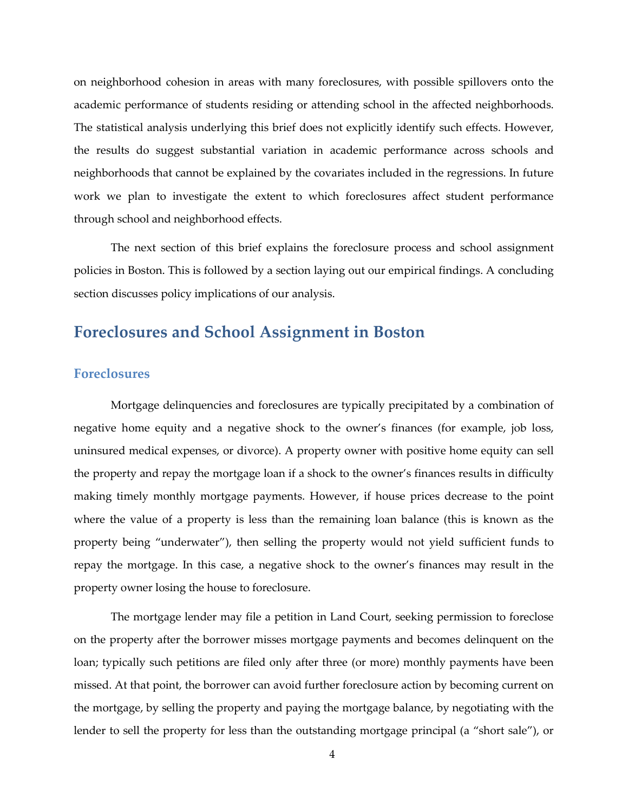on neighborhood cohesion in areas with many foreclosures, with possible spillovers onto the academic performance of students residing or attending school in the affected neighborhoods. The statistical analysis underlying this brief does not explicitly identify such effects. However, the results do suggest substantial variation in academic performance across schools and neighborhoods that cannot be explained by the covariates included in the regressions. In future work we plan to investigate the extent to which foreclosures affect student performance through school and neighborhood effects.

The next section of this brief explains the foreclosure process and school assignment policies in Boston. This is followed by a section laying out our empirical findings. A concluding section discusses policy implications of our analysis.

### **Foreclosures and School Assignment in Boston**

#### **Foreclosures**

Mortgage delinquencies and foreclosures are typically precipitated by a combination of negative home equity and a negative shock to the owner's finances (for example, job loss, uninsured medical expenses, or divorce). A property owner with positive home equity can sell the property and repay the mortgage loan if a shock to the owner's finances results in difficulty making timely monthly mortgage payments. However, if house prices decrease to the point where the value of a property is less than the remaining loan balance (this is known as the property being "underwater"), then selling the property would not yield sufficient funds to repay the mortgage. In this case, a negative shock to the owner's finances may result in the property owner losing the house to foreclosure.

The mortgage lender may file a petition in Land Court, seeking permission to foreclose on the property after the borrower misses mortgage payments and becomes delinquent on the loan; typically such petitions are filed only after three (or more) monthly payments have been missed. At that point, the borrower can avoid further foreclosure action by becoming current on the mortgage, by selling the property and paying the mortgage balance, by negotiating with the lender to sell the property for less than the outstanding mortgage principal (a "short sale"), or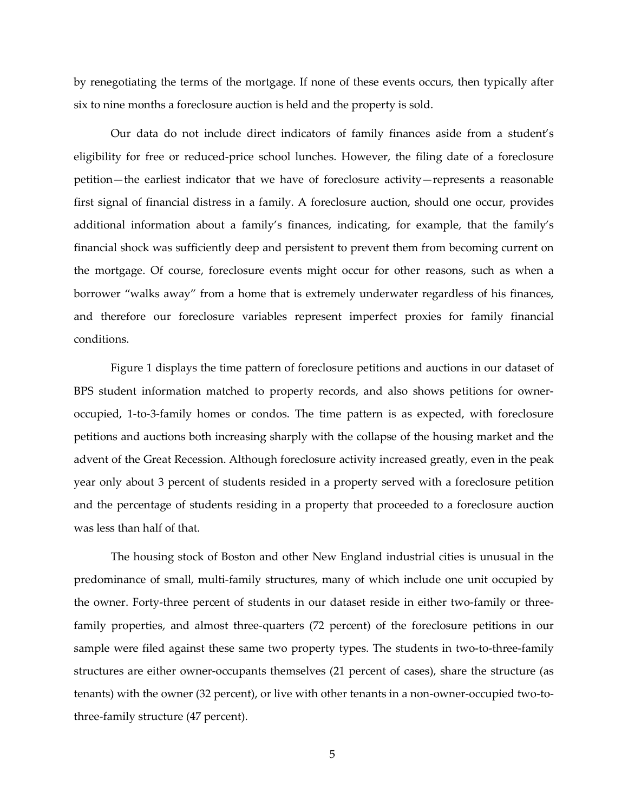by renegotiating the terms of the mortgage. If none of these events occurs, then typically after six to nine months a foreclosure auction is held and the property is sold.

Our data do not include direct indicators of family finances aside from a student's eligibility for free or reduced-price school lunches. However, the filing date of a foreclosure petition—the earliest indicator that we have of foreclosure activity—represents a reasonable first signal of financial distress in a family. A foreclosure auction, should one occur, provides additional information about a family's finances, indicating, for example, that the family's financial shock was sufficiently deep and persistent to prevent them from becoming current on the mortgage. Of course, foreclosure events might occur for other reasons, such as when a borrower "walks away" from a home that is extremely underwater regardless of his finances, and therefore our foreclosure variables represent imperfect proxies for family financial conditions.

Figure 1 displays the time pattern of foreclosure petitions and auctions in our dataset of BPS student information matched to property records, and also shows petitions for owneroccupied, 1-to-3-family homes or condos. The time pattern is as expected, with foreclosure petitions and auctions both increasing sharply with the collapse of the housing market and the advent of the Great Recession. Although foreclosure activity increased greatly, even in the peak year only about 3 percent of students resided in a property served with a foreclosure petition and the percentage of students residing in a property that proceeded to a foreclosure auction was less than half of that.

The housing stock of Boston and other New England industrial cities is unusual in the predominance of small, multi-family structures, many of which include one unit occupied by the owner. Forty-three percent of students in our dataset reside in either two-family or threefamily properties, and almost three-quarters (72 percent) of the foreclosure petitions in our sample were filed against these same two property types. The students in two-to-three-family structures are either owner-occupants themselves (21 percent of cases), share the structure (as tenants) with the owner (32 percent), or live with other tenants in a non-owner-occupied two-tothree-family structure (47 percent).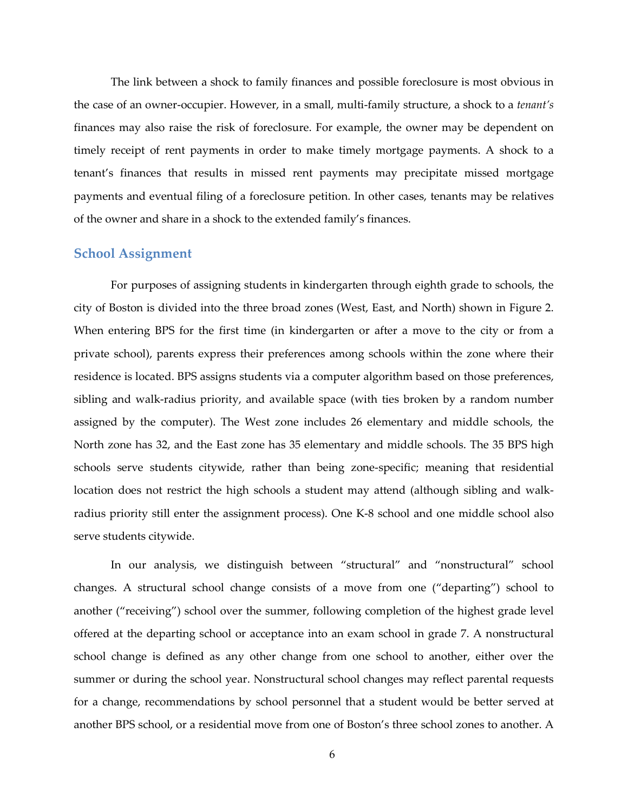The link between a shock to family finances and possible foreclosure is most obvious in the case of an owner-occupier. However, in a small, multi-family structure, a shock to a *tenant's* finances may also raise the risk of foreclosure. For example, the owner may be dependent on timely receipt of rent payments in order to make timely mortgage payments. A shock to a tenant's finances that results in missed rent payments may precipitate missed mortgage payments and eventual filing of a foreclosure petition. In other cases, tenants may be relatives of the owner and share in a shock to the extended family's finances.

#### **School Assignment**

For purposes of assigning students in kindergarten through eighth grade to schools, the city of Boston is divided into the three broad zones (West, East, and North) shown in Figure 2. When entering BPS for the first time (in kindergarten or after a move to the city or from a private school), parents express their preferences among schools within the zone where their residence is located. BPS assigns students via a computer algorithm based on those preferences, sibling and walk-radius priority, and available space (with ties broken by a random number assigned by the computer). The West zone includes 26 elementary and middle schools, the North zone has 32, and the East zone has 35 elementary and middle schools. The 35 BPS high schools serve students citywide, rather than being zone-specific; meaning that residential location does not restrict the high schools a student may attend (although sibling and walkradius priority still enter the assignment process). One K-8 school and one middle school also serve students citywide.

In our analysis, we distinguish between "structural" and "nonstructural" school changes. A structural school change consists of a move from one ("departing") school to another ("receiving") school over the summer, following completion of the highest grade level offered at the departing school or acceptance into an exam school in grade 7. A nonstructural school change is defined as any other change from one school to another, either over the summer or during the school year. Nonstructural school changes may reflect parental requests for a change, recommendations by school personnel that a student would be better served at another BPS school, or a residential move from one of Boston's three school zones to another. A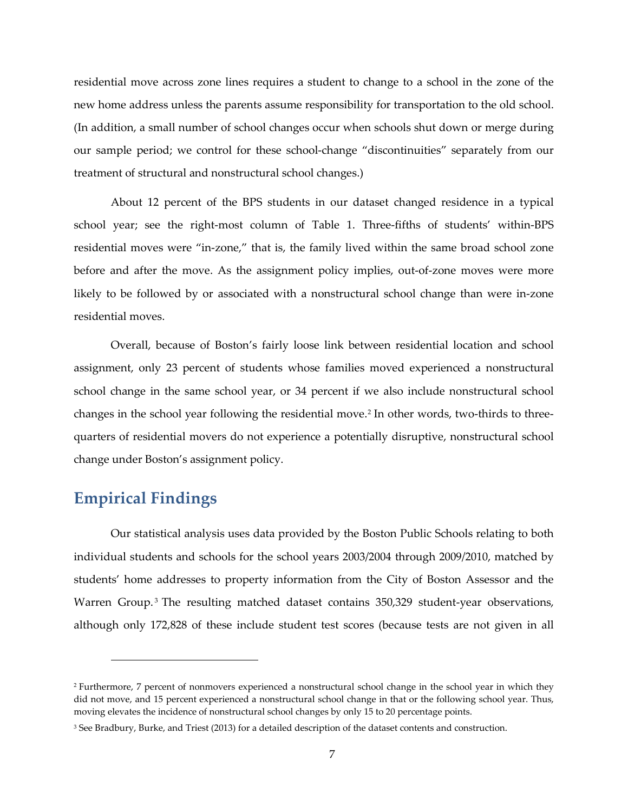residential move across zone lines requires a student to change to a school in the zone of the new home address unless the parents assume responsibility for transportation to the old school. (In addition, a small number of school changes occur when schools shut down or merge during our sample period; we control for these school-change "discontinuities" separately from our treatment of structural and nonstructural school changes.)

About 12 percent of the BPS students in our dataset changed residence in a typical school year; see the right-most column of Table 1. Three-fifths of students' within-BPS residential moves were "in-zone," that is, the family lived within the same broad school zone before and after the move. As the assignment policy implies, out-of-zone moves were more likely to be followed by or associated with a nonstructural school change than were in-zone residential moves.

Overall, because of Boston's fairly loose link between residential location and school assignment, only 23 percent of students whose families moved experienced a nonstructural school change in the same school year, or 34 percent if we also include nonstructural school changes in the school year following the residential move.[2](#page-6-0) In other words, two-thirds to threequarters of residential movers do not experience a potentially disruptive, nonstructural school change under Boston's assignment policy.

# **Empirical Findings**

l

Our statistical analysis uses data provided by the Boston Public Schools relating to both individual students and schools for the school years 2003/2004 through 2009/2010, matched by students' home addresses to property information from the City of Boston Assessor and the Warren Group.<sup>[3](#page-6-1)</sup> The resulting matched dataset contains 350,329 student-year observations, although only 172,828 of these include student test scores (because tests are not given in all

<span id="page-6-0"></span><sup>2</sup> Furthermore, 7 percent of nonmovers experienced a nonstructural school change in the school year in which they did not move, and 15 percent experienced a nonstructural school change in that or the following school year. Thus, moving elevates the incidence of nonstructural school changes by only 15 to 20 percentage points.

<span id="page-6-1"></span><sup>3</sup> See Bradbury, Burke, and Triest (2013) for a detailed description of the dataset contents and construction.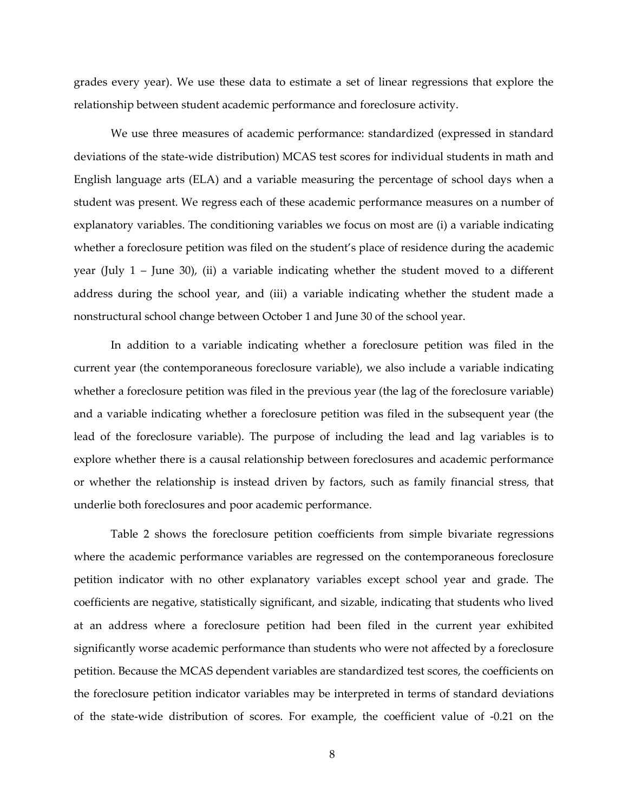grades every year). We use these data to estimate a set of linear regressions that explore the relationship between student academic performance and foreclosure activity.

We use three measures of academic performance: standardized (expressed in standard deviations of the state-wide distribution) MCAS test scores for individual students in math and English language arts (ELA) and a variable measuring the percentage of school days when a student was present. We regress each of these academic performance measures on a number of explanatory variables. The conditioning variables we focus on most are (i) a variable indicating whether a foreclosure petition was filed on the student's place of residence during the academic year (July  $1$  – June 30), (ii) a variable indicating whether the student moved to a different address during the school year, and (iii) a variable indicating whether the student made a nonstructural school change between October 1 and June 30 of the school year.

In addition to a variable indicating whether a foreclosure petition was filed in the current year (the contemporaneous foreclosure variable), we also include a variable indicating whether a foreclosure petition was filed in the previous year (the lag of the foreclosure variable) and a variable indicating whether a foreclosure petition was filed in the subsequent year (the lead of the foreclosure variable). The purpose of including the lead and lag variables is to explore whether there is a causal relationship between foreclosures and academic performance or whether the relationship is instead driven by factors, such as family financial stress, that underlie both foreclosures and poor academic performance.

Table 2 shows the foreclosure petition coefficients from simple bivariate regressions where the academic performance variables are regressed on the contemporaneous foreclosure petition indicator with no other explanatory variables except school year and grade. The coefficients are negative, statistically significant, and sizable, indicating that students who lived at an address where a foreclosure petition had been filed in the current year exhibited significantly worse academic performance than students who were not affected by a foreclosure petition. Because the MCAS dependent variables are standardized test scores, the coefficients on the foreclosure petition indicator variables may be interpreted in terms of standard deviations of the state-wide distribution of scores. For example, the coefficient value of -0.21 on the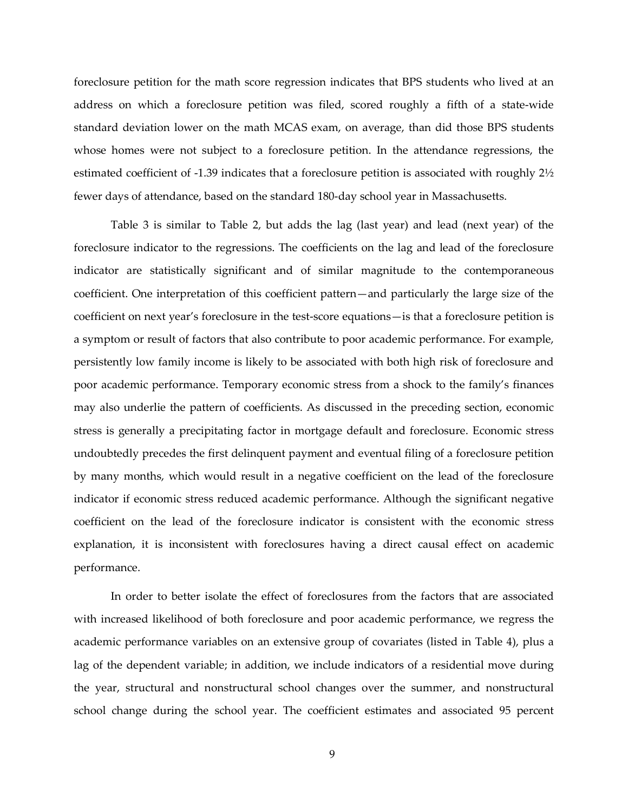foreclosure petition for the math score regression indicates that BPS students who lived at an address on which a foreclosure petition was filed, scored roughly a fifth of a state-wide standard deviation lower on the math MCAS exam, on average, than did those BPS students whose homes were not subject to a foreclosure petition. In the attendance regressions, the estimated coefficient of -1.39 indicates that a foreclosure petition is associated with roughly 2½ fewer days of attendance, based on the standard 180-day school year in Massachusetts.

Table 3 is similar to Table 2, but adds the lag (last year) and lead (next year) of the foreclosure indicator to the regressions. The coefficients on the lag and lead of the foreclosure indicator are statistically significant and of similar magnitude to the contemporaneous coefficient. One interpretation of this coefficient pattern—and particularly the large size of the coefficient on next year's foreclosure in the test-score equations—is that a foreclosure petition is a symptom or result of factors that also contribute to poor academic performance. For example, persistently low family income is likely to be associated with both high risk of foreclosure and poor academic performance. Temporary economic stress from a shock to the family's finances may also underlie the pattern of coefficients. As discussed in the preceding section, economic stress is generally a precipitating factor in mortgage default and foreclosure. Economic stress undoubtedly precedes the first delinquent payment and eventual filing of a foreclosure petition by many months, which would result in a negative coefficient on the lead of the foreclosure indicator if economic stress reduced academic performance. Although the significant negative coefficient on the lead of the foreclosure indicator is consistent with the economic stress explanation, it is inconsistent with foreclosures having a direct causal effect on academic performance.

In order to better isolate the effect of foreclosures from the factors that are associated with increased likelihood of both foreclosure and poor academic performance, we regress the academic performance variables on an extensive group of covariates (listed in Table 4), plus a lag of the dependent variable; in addition, we include indicators of a residential move during the year, structural and nonstructural school changes over the summer, and nonstructural school change during the school year. The coefficient estimates and associated 95 percent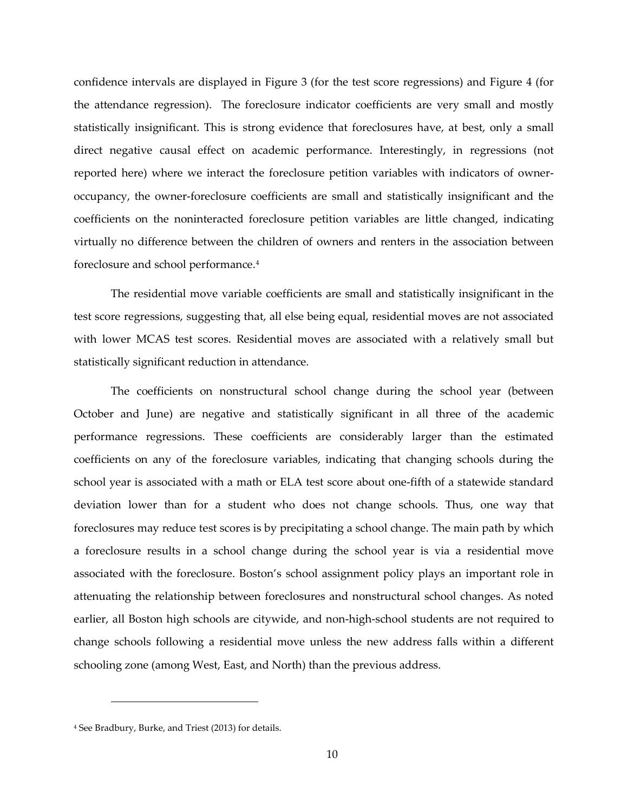confidence intervals are displayed in Figure 3 (for the test score regressions) and Figure 4 (for the attendance regression). The foreclosure indicator coefficients are very small and mostly statistically insignificant. This is strong evidence that foreclosures have, at best, only a small direct negative causal effect on academic performance. Interestingly, in regressions (not reported here) where we interact the foreclosure petition variables with indicators of owneroccupancy, the owner-foreclosure coefficients are small and statistically insignificant and the coefficients on the noninteracted foreclosure petition variables are little changed, indicating virtually no difference between the children of owners and renters in the association between foreclosure and school performance.[4](#page-9-0)

The residential move variable coefficients are small and statistically insignificant in the test score regressions, suggesting that, all else being equal, residential moves are not associated with lower MCAS test scores. Residential moves are associated with a relatively small but statistically significant reduction in attendance.

The coefficients on nonstructural school change during the school year (between October and June) are negative and statistically significant in all three of the academic performance regressions. These coefficients are considerably larger than the estimated coefficients on any of the foreclosure variables, indicating that changing schools during the school year is associated with a math or ELA test score about one-fifth of a statewide standard deviation lower than for a student who does not change schools. Thus, one way that foreclosures may reduce test scores is by precipitating a school change. The main path by which a foreclosure results in a school change during the school year is via a residential move associated with the foreclosure. Boston's school assignment policy plays an important role in attenuating the relationship between foreclosures and nonstructural school changes. As noted earlier, all Boston high schools are citywide, and non-high-school students are not required to change schools following a residential move unless the new address falls within a different schooling zone (among West, East, and North) than the previous address.

<span id="page-9-0"></span><sup>4</sup> See Bradbury, Burke, and Triest (2013) for details.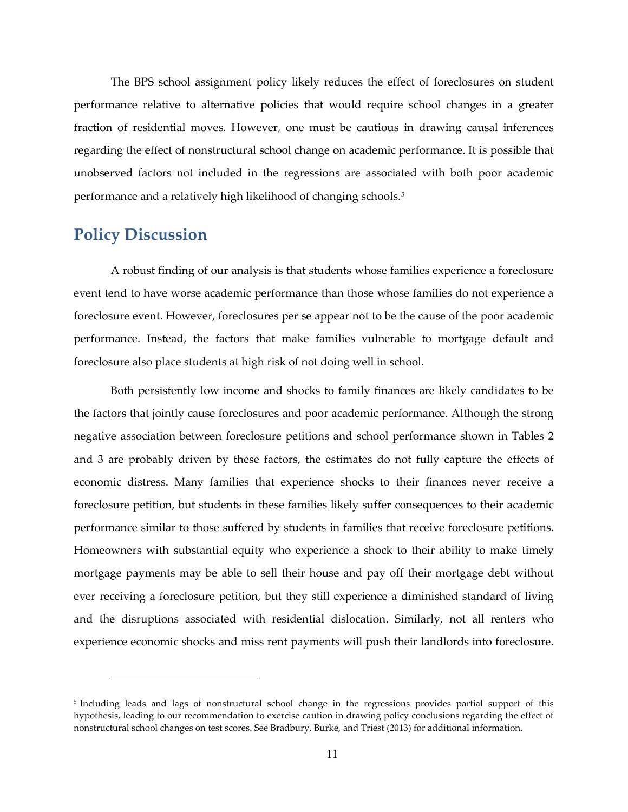The BPS school assignment policy likely reduces the effect of foreclosures on student performance relative to alternative policies that would require school changes in a greater fraction of residential moves. However, one must be cautious in drawing causal inferences regarding the effect of nonstructural school change on academic performance. It is possible that unobserved factors not included in the regressions are associated with both poor academic performance and a relatively high likelihood of changing schools.[5](#page-10-0)

# **Policy Discussion**

 $\overline{a}$ 

A robust finding of our analysis is that students whose families experience a foreclosure event tend to have worse academic performance than those whose families do not experience a foreclosure event. However, foreclosures per se appear not to be the cause of the poor academic performance. Instead, the factors that make families vulnerable to mortgage default and foreclosure also place students at high risk of not doing well in school.

Both persistently low income and shocks to family finances are likely candidates to be the factors that jointly cause foreclosures and poor academic performance. Although the strong negative association between foreclosure petitions and school performance shown in Tables 2 and 3 are probably driven by these factors, the estimates do not fully capture the effects of economic distress. Many families that experience shocks to their finances never receive a foreclosure petition, but students in these families likely suffer consequences to their academic performance similar to those suffered by students in families that receive foreclosure petitions. Homeowners with substantial equity who experience a shock to their ability to make timely mortgage payments may be able to sell their house and pay off their mortgage debt without ever receiving a foreclosure petition, but they still experience a diminished standard of living and the disruptions associated with residential dislocation. Similarly, not all renters who experience economic shocks and miss rent payments will push their landlords into foreclosure.

<span id="page-10-0"></span><sup>5</sup> Including leads and lags of nonstructural school change in the regressions provides partial support of this hypothesis, leading to our recommendation to exercise caution in drawing policy conclusions regarding the effect of nonstructural school changes on test scores. See Bradbury, Burke, and Triest (2013) for additional information.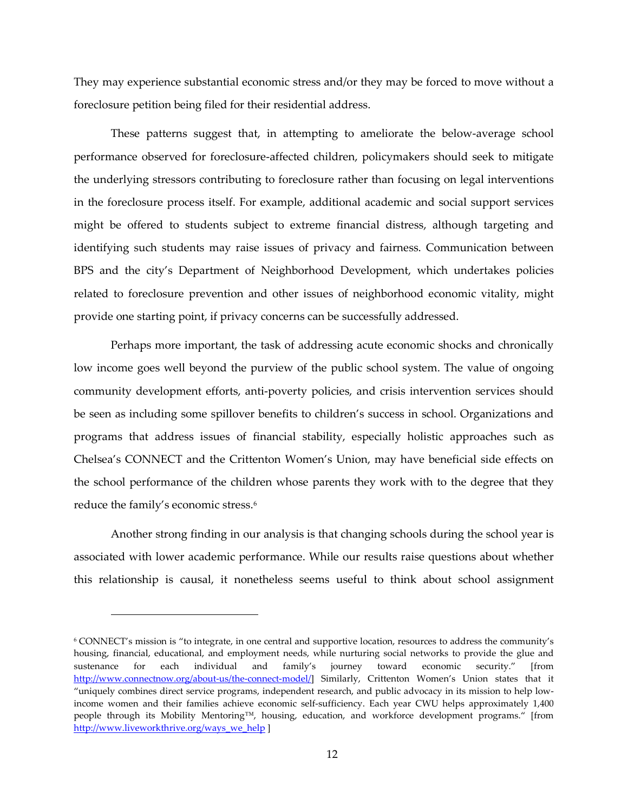They may experience substantial economic stress and/or they may be forced to move without a foreclosure petition being filed for their residential address.

These patterns suggest that, in attempting to ameliorate the below-average school performance observed for foreclosure-affected children, policymakers should seek to mitigate the underlying stressors contributing to foreclosure rather than focusing on legal interventions in the foreclosure process itself. For example, additional academic and social support services might be offered to students subject to extreme financial distress, although targeting and identifying such students may raise issues of privacy and fairness. Communication between BPS and the city's Department of Neighborhood Development, which undertakes policies related to foreclosure prevention and other issues of neighborhood economic vitality, might provide one starting point, if privacy concerns can be successfully addressed.

Perhaps more important, the task of addressing acute economic shocks and chronically low income goes well beyond the purview of the public school system. The value of ongoing community development efforts, anti-poverty policies, and crisis intervention services should be seen as including some spillover benefits to children's success in school. Organizations and programs that address issues of financial stability, especially holistic approaches such as Chelsea's CONNECT and the Crittenton Women's Union, may have beneficial side effects on the school performance of the children whose parents they work with to the degree that they reduce the family's economic stress.[6](#page-11-0) 

Another strong finding in our analysis is that changing schools during the school year is associated with lower academic performance. While our results raise questions about whether this relationship is causal, it nonetheless seems useful to think about school assignment

<span id="page-11-0"></span><sup>6</sup> CONNECT's mission is "to integrate, in one central and supportive location, resources to address the community's housing, financial, educational, and employment needs, while nurturing social networks to provide the glue and sustenance for each individual and family's journey toward economic security." [from [http://www.connectnow.org/about-us/the-connect-model/\]](http://www.connectnow.org/about-us/the-connect-model/) Similarly, Crittenton Women's Union states that it "uniquely combines direct service programs, independent research, and public advocacy in its mission to help lowincome women and their families achieve economic self-sufficiency. Each year CWU helps approximately 1,400 people through its Mobility Mentoring™, housing, education, and workforce development programs." [from [http://www.liveworkthrive.org/ways\\_we\\_help \]](http://www.liveworkthrive.org/ways_we_help)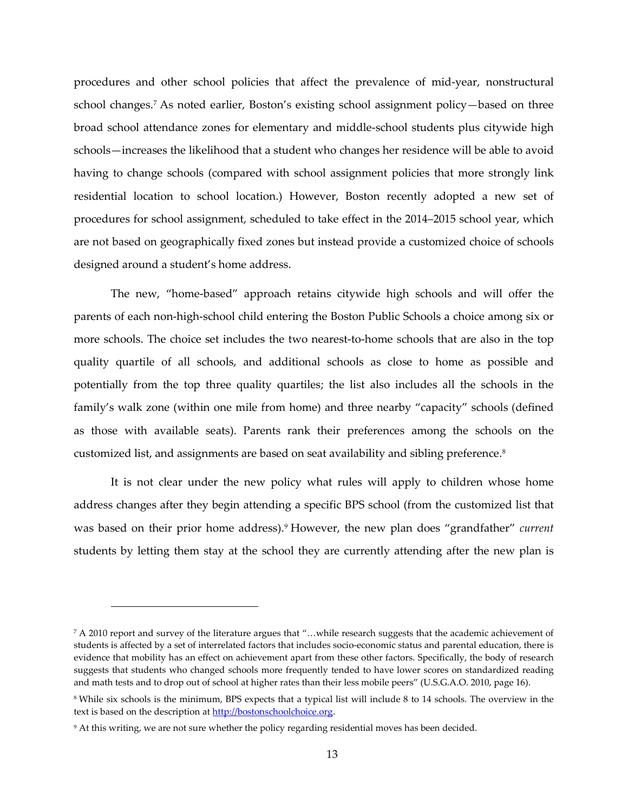procedures and other school policies that affect the prevalence of mid-year, nonstructural school changes.[7](#page-12-0) As noted earlier, Boston's existing school assignment policy—based on three broad school attendance zones for elementary and middle-school students plus citywide high schools—increases the likelihood that a student who changes her residence will be able to avoid having to change schools (compared with school assignment policies that more strongly link residential location to school location.) However, Boston recently adopted a new set of procedures for school assignment, scheduled to take effect in the 2014–2015 school year, which are not based on geographically fixed zones but instead provide a customized choice of schools designed around a student's home address.

The new, "home-based" approach retains citywide high schools and will offer the parents of each non-high-school child entering the Boston Public Schools a choice among six or more schools. The choice set includes the two nearest-to-home schools that are also in the top quality quartile of all schools, and additional schools as close to home as possible and potentially from the top three quality quartiles; the list also includes all the schools in the family's walk zone (within one mile from home) and three nearby "capacity" schools (defined as those with available seats). Parents rank their preferences among the schools on the customized list, and assignments are based on seat availability and sibling preference.<sup>[8](#page-12-1)</sup>

It is not clear under the new policy what rules will apply to children whose home address changes after they begin attending a specific BPS school (from the customized list that was based on their prior home address)[.9](#page-12-2) However, the new plan does "grandfather" *current*  students by letting them stay at the school they are currently attending after the new plan is

<span id="page-12-0"></span><sup>7</sup> A 2010 report and survey of the literature argues that "…while research suggests that the academic achievement of students is affected by a set of interrelated factors that includes socio-economic status and parental education, there is evidence that mobility has an effect on achievement apart from these other factors. Specifically, the body of research suggests that students who changed schools more frequently tended to have lower scores on standardized reading and math tests and to drop out of school at higher rates than their less mobile peers" (U.S.G.A.O. 2010, page 16).

<span id="page-12-1"></span><sup>8</sup> While six schools is the minimum, BPS expects that a typical list will include 8 to 14 schools. The overview in the text is based on the description at http://bostonschoolchoice.org.

<span id="page-12-2"></span><sup>&</sup>lt;sup>9</sup> At this writing, we are not sure whether the policy regarding residential moves has been decided.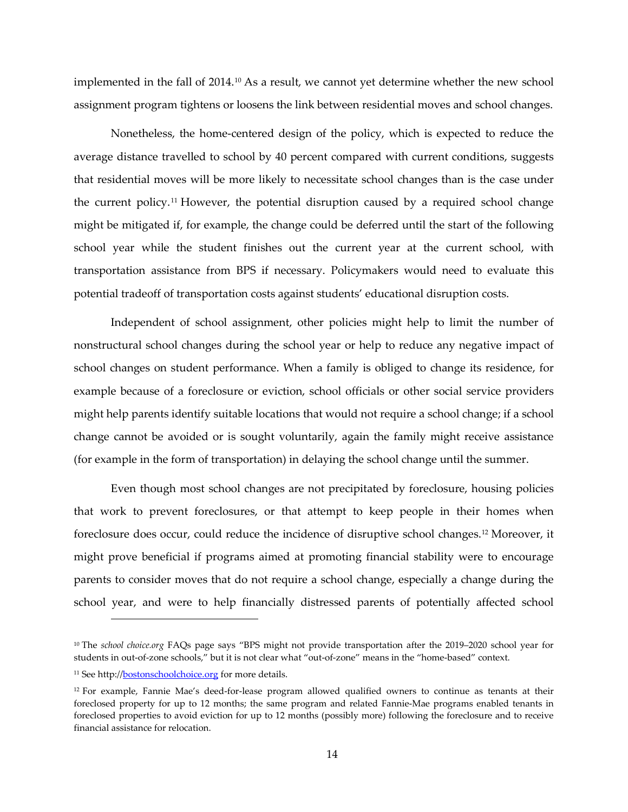implemented in the fall of 2014.[10](#page-13-0) As a result, we cannot yet determine whether the new school assignment program tightens or loosens the link between residential moves and school changes.

Nonetheless, the home-centered design of the policy, which is expected to reduce the average distance travelled to school by 40 percent compared with current conditions, suggests that residential moves will be more likely to necessitate school changes than is the case under the current policy.[11](#page-13-1) However, the potential disruption caused by a required school change might be mitigated if, for example, the change could be deferred until the start of the following school year while the student finishes out the current year at the current school, with transportation assistance from BPS if necessary. Policymakers would need to evaluate this potential tradeoff of transportation costs against students' educational disruption costs.

Independent of school assignment, other policies might help to limit the number of nonstructural school changes during the school year or help to reduce any negative impact of school changes on student performance. When a family is obliged to change its residence, for example because of a foreclosure or eviction, school officials or other social service providers might help parents identify suitable locations that would not require a school change; if a school change cannot be avoided or is sought voluntarily, again the family might receive assistance (for example in the form of transportation) in delaying the school change until the summer.

Even though most school changes are not precipitated by foreclosure, housing policies that work to prevent foreclosures, or that attempt to keep people in their homes when foreclosure does occur, could reduce the incidence of disruptive school changes.[12](#page-13-2) Moreover, it might prove beneficial if programs aimed at promoting financial stability were to encourage parents to consider moves that do not require a school change, especially a change during the school year, and were to help financially distressed parents of potentially affected school

<span id="page-13-0"></span><sup>10</sup> The *school choice.org* FAQs page says "BPS might not provide transportation after the 2019–2020 school year for students in out-of-zone schools," but it is not clear what "out-of-zone" means in the "home-based" context.

<span id="page-13-1"></span><sup>&</sup>lt;sup>11</sup> See http://**bostonschoolchoice.org** for more details.

<span id="page-13-2"></span><sup>12</sup> For example, Fannie Mae's deed-for-lease program allowed qualified owners to continue as tenants at their foreclosed property for up to 12 months; the same program and related Fannie-Mae programs enabled tenants in foreclosed properties to avoid eviction for up to 12 months (possibly more) following the foreclosure and to receive financial assistance for relocation.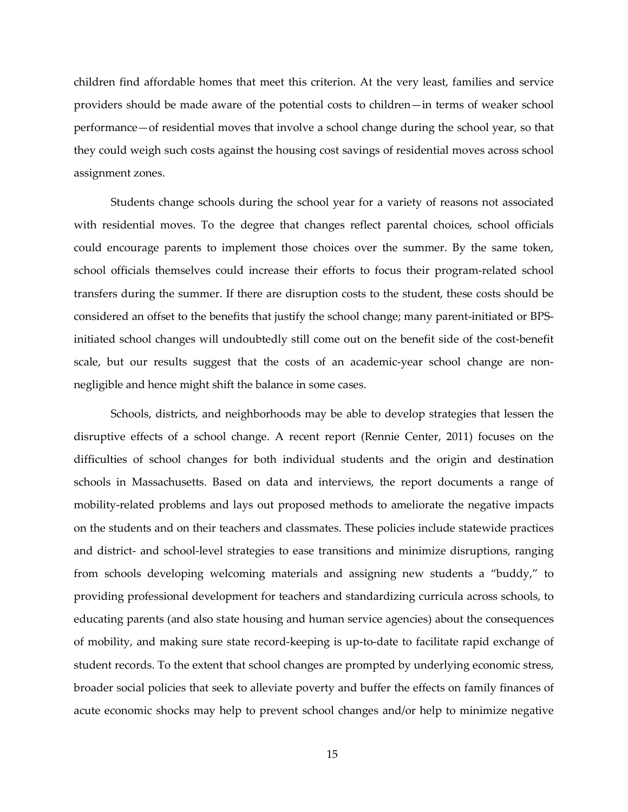children find affordable homes that meet this criterion. At the very least, families and service providers should be made aware of the potential costs to children—in terms of weaker school performance—of residential moves that involve a school change during the school year, so that they could weigh such costs against the housing cost savings of residential moves across school assignment zones.

Students change schools during the school year for a variety of reasons not associated with residential moves. To the degree that changes reflect parental choices, school officials could encourage parents to implement those choices over the summer. By the same token, school officials themselves could increase their efforts to focus their program-related school transfers during the summer. If there are disruption costs to the student, these costs should be considered an offset to the benefits that justify the school change; many parent-initiated or BPSinitiated school changes will undoubtedly still come out on the benefit side of the cost-benefit scale, but our results suggest that the costs of an academic-year school change are nonnegligible and hence might shift the balance in some cases.

Schools, districts, and neighborhoods may be able to develop strategies that lessen the disruptive effects of a school change. A recent report (Rennie Center, 2011) focuses on the difficulties of school changes for both individual students and the origin and destination schools in Massachusetts. Based on data and interviews, the report documents a range of mobility-related problems and lays out proposed methods to ameliorate the negative impacts on the students and on their teachers and classmates. These policies include statewide practices and district- and school-level strategies to ease transitions and minimize disruptions, ranging from schools developing welcoming materials and assigning new students a "buddy," to providing professional development for teachers and standardizing curricula across schools, to educating parents (and also state housing and human service agencies) about the consequences of mobility, and making sure state record-keeping is up-to-date to facilitate rapid exchange of student records. To the extent that school changes are prompted by underlying economic stress, broader social policies that seek to alleviate poverty and buffer the effects on family finances of acute economic shocks may help to prevent school changes and/or help to minimize negative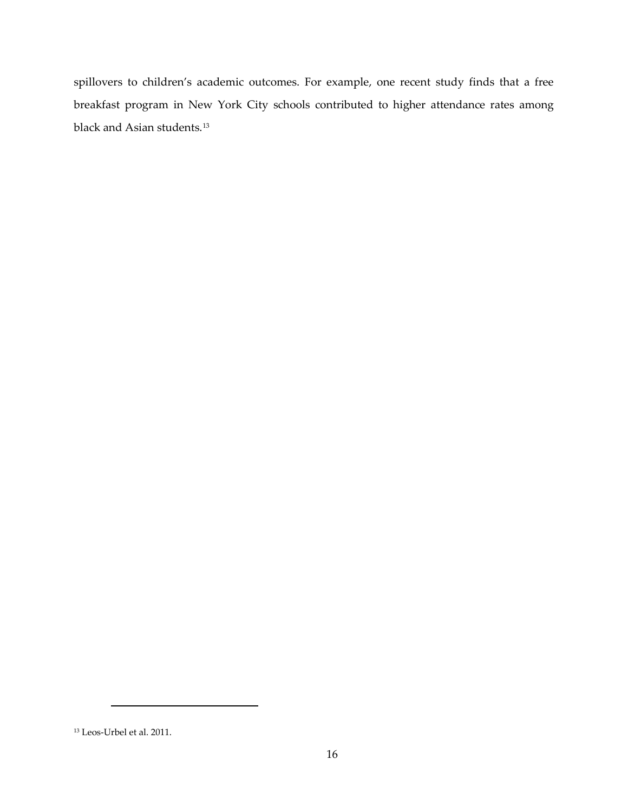spillovers to children's academic outcomes. For example, one recent study finds that a free breakfast program in New York City schools contributed to higher attendance rates among black and Asian students.<sup>[13](#page-15-0)</sup>

<span id="page-15-0"></span><sup>13</sup> Leos-Urbel et al. 2011.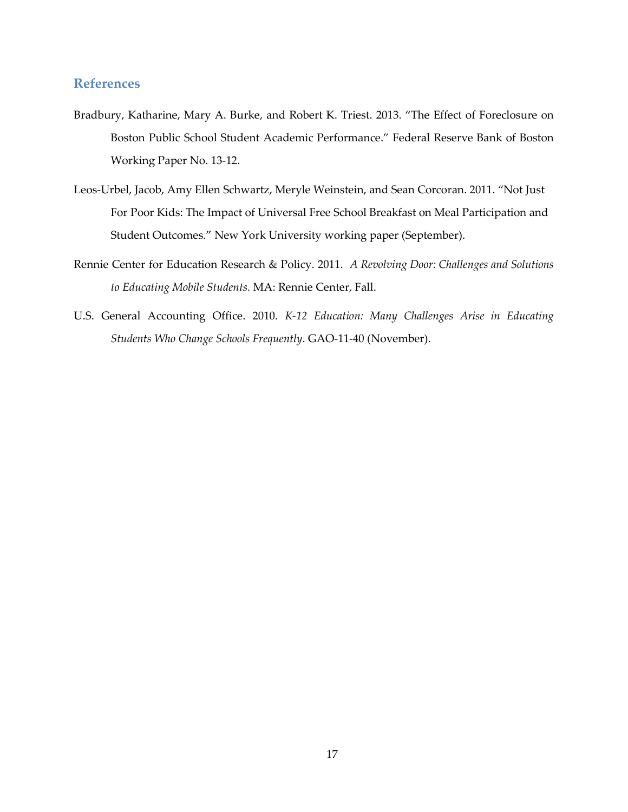#### **References**

- Bradbury, Katharine, Mary A. Burke, and Robert K. Triest. 2013. "The Effect of Foreclosure on Boston Public School Student Academic Performance." Federal Reserve Bank of Boston Working Paper No. 13-12.
- Leos-Urbel, Jacob, Amy Ellen Schwartz, Meryle Weinstein, and Sean Corcoran. 2011. "Not Just For Poor Kids: The Impact of Universal Free School Breakfast on Meal Participation and Student Outcomes." New York University working paper (September).
- Rennie Center for Education Research & Policy. 2011. *A Revolving Door: Challenges and Solutions to Educating Mobile Students.* MA: Rennie Center, Fall.
- U.S. General Accounting Office. 2010. *K-12 Education: Many Challenges Arise in Educating Students Who Change Schools Frequently*. GAO-11-40 (November).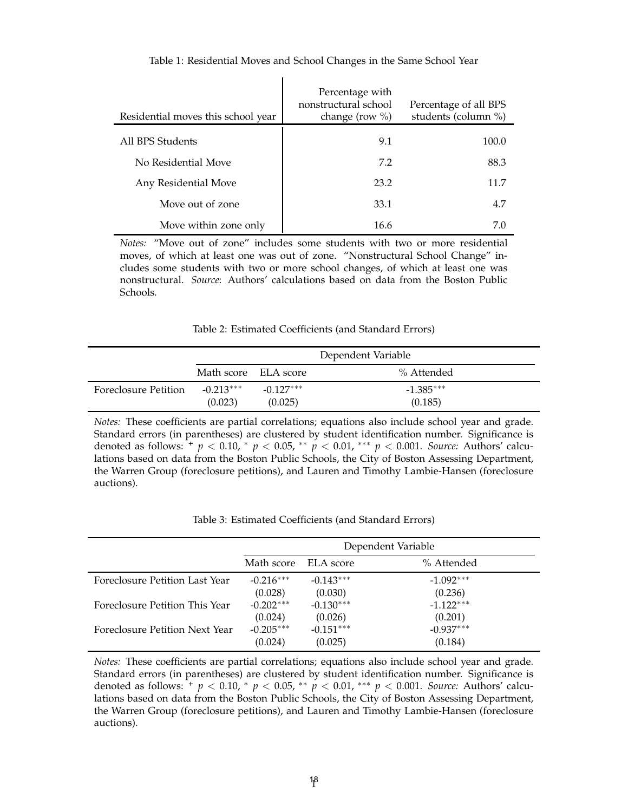| Residential moves this school year | Percentage with<br>nonstructural school<br>change (row $\%$ ) | Percentage of all BPS<br>students (column %) |
|------------------------------------|---------------------------------------------------------------|----------------------------------------------|
| All BPS Students                   | 9.1                                                           | 100.0                                        |
| No Residential Move                | 7.2                                                           | 88.3                                         |
| Any Residential Move               | 23.2                                                          | 11.7                                         |
| Move out of zone                   | 33.1                                                          | 4.7                                          |
| Move within zone only              | 16.6                                                          | 7.0                                          |

Table 1: Residential Moves and School Changes in the Same School Year

 $\mathbf{I}$ 

*Notes:* "Move out of zone" includes some students with two or more residential moves, of which at least one was out of zone. "Nonstructural School Change" includes some students with two or more school changes, of which at least one was nonstructural. *Source*: Authors' calculations based on data from the Boston Public Schools.

Table 2: Estimated Coefficients (and Standard Errors)

|                      | Dependent Variable     |                        |                        |
|----------------------|------------------------|------------------------|------------------------|
|                      | Math score ELA score   |                        | % Attended             |
| Foreclosure Petition | $-0.213***$<br>(0.023) | $-0.127***$<br>(0.025) | $-1.385***$<br>(0.185) |

*Notes:* These coefficients are partial correlations; equations also include school year and grade. Standard errors (in parentheses) are clustered by student identification number. Significance is denoted as follows: **<sup>+</sup>** *<sup>p</sup>* < 0.10, <sup>∗</sup> *<sup>p</sup>* < 0.05, ∗∗ *<sup>p</sup>* < 0.01, ∗∗∗ *<sup>p</sup>* < 0.001. *Source:* Authors' calculations based on data from the Boston Public Schools, the City of Boston Assessing Department, the Warren Group (foreclosure petitions), and Lauren and Timothy Lambie-Hansen (foreclosure auctions).

|  |  | Table 3: Estimated Coefficients (and Standard Errors) |  |  |  |
|--|--|-------------------------------------------------------|--|--|--|
|--|--|-------------------------------------------------------|--|--|--|

|                                | Dependent Variable |             |             |
|--------------------------------|--------------------|-------------|-------------|
|                                | Math score         | ELA score   | % Attended  |
| Foreclosure Petition Last Year | $-0.216***$        | $-0.143***$ | $-1.092***$ |
|                                | (0.028)            | (0.030)     | (0.236)     |
| Foreclosure Petition This Year | $-0.202***$        | $-0.130***$ | $-1.122***$ |
|                                | (0.024)            | (0.026)     | (0.201)     |
| Foreclosure Petition Next Year | $-0.205***$        | $-0.151***$ | $-0.937***$ |
|                                | (0.024)            | (0.025)     | (0.184)     |

*Notes:* These coefficients are partial correlations; equations also include school year and grade. Standard errors (in parentheses) are clustered by student identification number. Significance is denoted as follows: **<sup>+</sup>** *<sup>p</sup>* < 0.10, <sup>∗</sup> *<sup>p</sup>* < 0.05, ∗∗ *<sup>p</sup>* < 0.01, ∗∗∗ *<sup>p</sup>* < 0.001. *Source:* Authors' calculations based on data from the Boston Public Schools, the City of Boston Assessing Department, the Warren Group (foreclosure petitions), and Lauren and Timothy Lambie-Hansen (foreclosure auctions).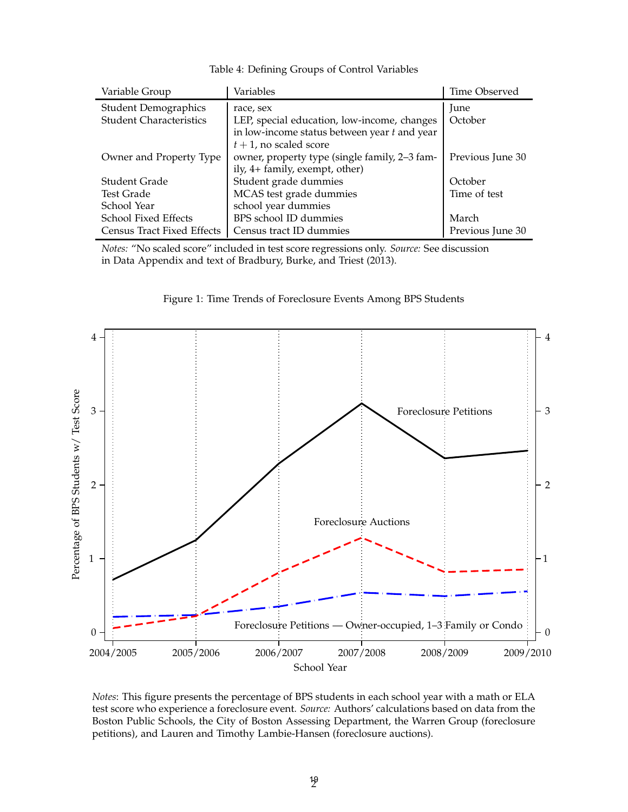| Variable Group                    | Variables                                      | Time Observed    |
|-----------------------------------|------------------------------------------------|------------------|
| <b>Student Demographics</b>       | race, sex                                      | <b>Lune</b>      |
| <b>Student Characteristics</b>    | LEP, special education, low-income, changes    | October          |
|                                   | in low-income status between year $t$ and year |                  |
|                                   | $t+1$ , no scaled score                        |                  |
| Owner and Property Type           | owner, property type (single family, 2-3 fam-  | Previous June 30 |
|                                   | ily, 4+ family, exempt, other)                 |                  |
| Student Grade                     | Student grade dummies                          | October          |
| Test Grade                        | MCAS test grade dummies                        | Time of test     |
| School Year                       | school year dummies                            |                  |
| School Fixed Effects              | BPS school ID dummies                          | March            |
| <b>Census Tract Fixed Effects</b> | Census tract ID dummies                        | Previous June 30 |

Table 4: Defining Groups of Control Variables

*Notes:* "No scaled score" included in test score regressions only. *Source:* See discussion in Data Appendix and text of Bradbury, Burke, and Triest (2013).



Figure 1: Time Trends of Foreclosure Events Among BPS Students

*Notes*: This figure presents the percentage of BPS students in each school year with a math or ELA test score who experience a foreclosure event. *Source:* Authors' calculations based on data from the Boston Public Schools, the City of Boston Assessing Department, the Warren Group (foreclosure petitions), and Lauren and Timothy Lambie-Hansen (foreclosure auctions).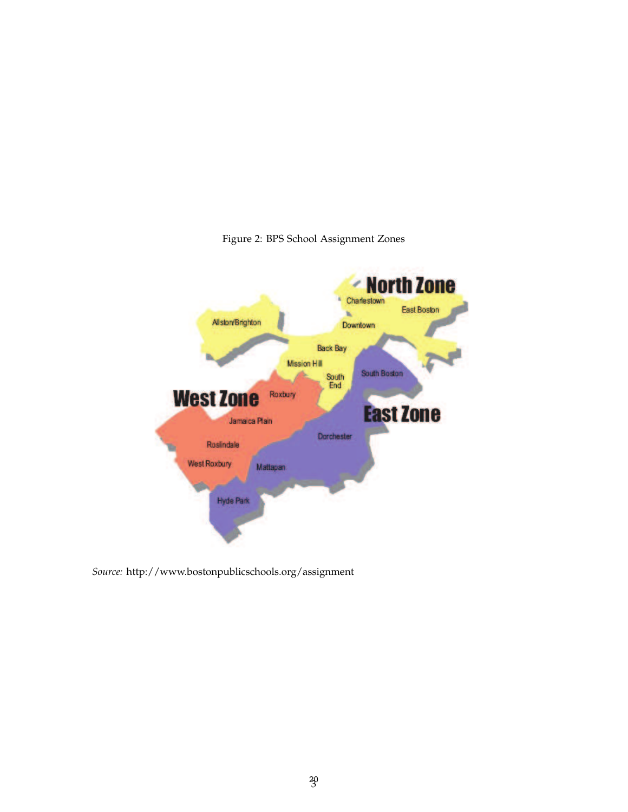

Figure 2: BPS School Assignment Zones

*Source:* http://www.bostonpublicschools.org/assignment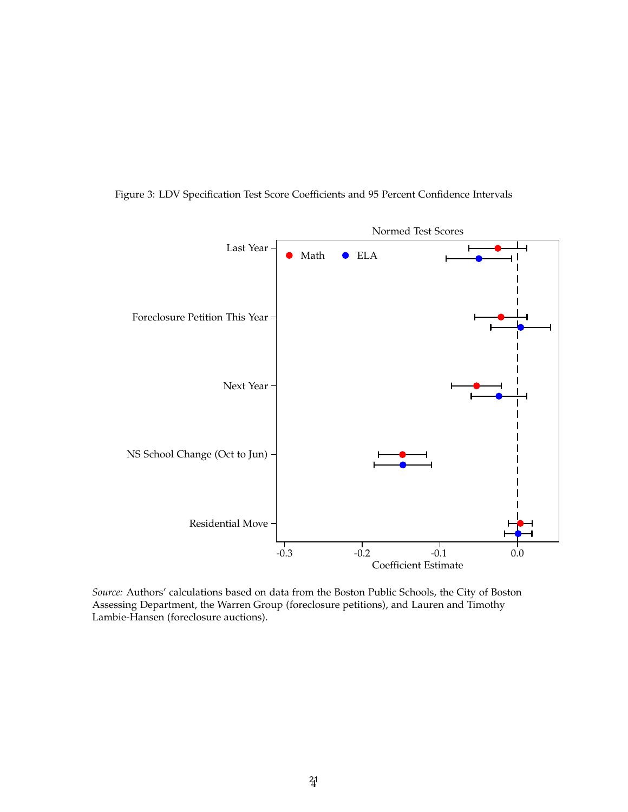



*Source:* Authors' calculations based on data from the Boston Public Schools, the City of Boston Assessing Department, the Warren Group (foreclosure petitions), and Lauren and Timothy Lambie-Hansen (foreclosure auctions).